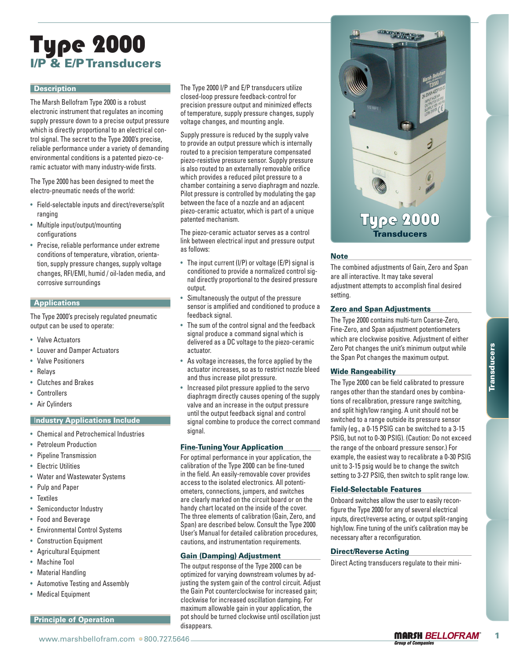# Type 2000 I/P & E/P Transducers

#### **Description**

The Marsh Bellofram Type 2000 is a robust electronic instrument that regulates an incoming supply pressure down to a precise output pressure which is directly proportional to an electrical control signal. The secret to the Type 2000's precise, reliable performance under a variety of demanding environmental conditions is a patented piezo-ceramic actuator with many industry-wide firsts.

The Type 2000 has been designed to meet the electro-pneumatic needs of the world:

- Field-selectable inputs and direct/reverse/split ranging
- Multiple input/output/mounting configurations
- Precise, reliable performance under extreme conditions of temperature, vibration, orientation, supply pressure changes, supply voltage changes, RFI/EMI, humid / oil-laden media, and corrosive surroundings

#### **Applications**

The Type 2000's precisely regulated pneumatic output can be used to operate:

- Valve Actuators
- Louver and Damper Actuators
- Valve Positioners
- Relays
- Clutches and Brakes
- Controllers
- Air Cylinders

## **Industry Applications Include**

- Chemical and Petrochemical Industries
- Petroleum Production
- Pipeline Transmission
- Electric Utilities
- Water and Wastewater Systems
- Pulp and Paper
- Textiles
- Semiconductor Industry
- Food and Beverage
- Environmental Control Systems
- Construction Equipment
- Agricultural Equipment
- Machine Tool
- Material Handling
- Automotive Testing and Assembly
- Medical Equipment

# Principle of Operation

The Type 2000 I/P and E/P transducers utilize closed-loop pressure feedback-control for precision pressure output and minimized effects of temperature, supply pressure changes, supply voltage changes, and mounting angle.

Supply pressure is reduced by the supply valve to provide an output pressure which is internally routed to a precision temperature compensated piezo-resistive pressure sensor. Supply pressure is also routed to an externally removable orifice which provides a reduced pilot pressure to a chamber containing a servo diaphragm and nozzle. Pilot pressure is controlled by modulating the gap between the face of a nozzle and an adjacent piezo-ceramic actuator, which is part of a unique patented mechanism.

The piezo-ceramic actuator serves as a control link between electrical input and pressure output as follows:

- The input current (I/P) or voltage (E/P) signal is conditioned to provide a normalized control signal directly proportional to the desired pressure output.
- Simultaneously the output of the pressure sensor is amplified and conditioned to produce a feedback signal.
- The sum of the control signal and the feedback signal produce a command signal which is delivered as a DC voltage to the piezo-ceramic actuator.
- As voltage increases, the force applied by the actuator increases, so as to restrict nozzle bleed and thus increase pilot pressure.
- Increased pilot pressure applied to the servo diaphragm directly causes opening of the supply valve and an increase in the output pressure until the output feedback signal and control signal combine to produce the correct command signal.

#### Fine-Tuning Your Application

For optimal performance in your application, the calibration of the Type 2000 can be fine-tuned in the field. An easily-removable cover provides access to the isolated electronics. All potentiometers, connections, jumpers, and switches are clearly marked on the circuit board or on the handy chart located on the inside of the cover. The three elements of calibration (Gain, Zero, and Span) are described below. Consult the Type 2000 User's Manual for detailed calibration procedures, cautions, and instrumentation requirements.

#### Gain (Damping) Adjustment

The output response of the Type 2000 can be optimized for varying downstream volumes by adjusting the system gain of the control circuit. Adjust the Gain Pot counterclockwise for increased gain; clockwise for increased oscillation damping. For maximum allowable gain in your application, the pot should be turned clockwise until oscillation just disappears.



#### **Note**

The combined adjustments of Gain, Zero and Span are all interactive. It may take several adjustment attempts to accomplish final desired setting.

#### Zero and Span Adjustments

The Type 2000 contains multi-turn Coarse-Zero, Fine-Zero, and Span adjustment potentiometers which are clockwise positive. Adjustment of either Zero Pot changes the unit's minimum output while the Span Pot changes the maximum output.

#### Wide Rangeability

cover and Banger Actuators<br>
and the Relations of the Minimum of the Minimum of the Minimum of the Minimum of the Minimum of the Minimum of the Minimum of the Minimum of the Minimum of the Minimum of the Minimum of the Mi The Type 2000 can be field calibrated to pressure ranges other than the standard ones by combinations of recalibration, pressure range switching, and split high/low ranging. A unit should not be switched to a range outside its pressure sensor family (eg., a 0-15 PSIG can be switched to a 3-15 PSIG, but not to 0-30 PSIG). (Caution: Do not exceed the range of the onboard pressure sensor.) For example, the easiest way to recalibrate a 0-30 PSIG unit to 3-15 psig would be to change the switch setting to 3-27 PSIG, then switch to split range low.

#### Field-Selectable Features

Onboard switches allow the user to easily reconfigure the Type 2000 for any of several electrical inputs, direct/reverse acting, or output split-ranging high/low. Fine tuning of the unit's calibration may be necessary after a reconfiguration.

#### Direct/Reverse Acting

Direct Acting transducers regulate to their mini-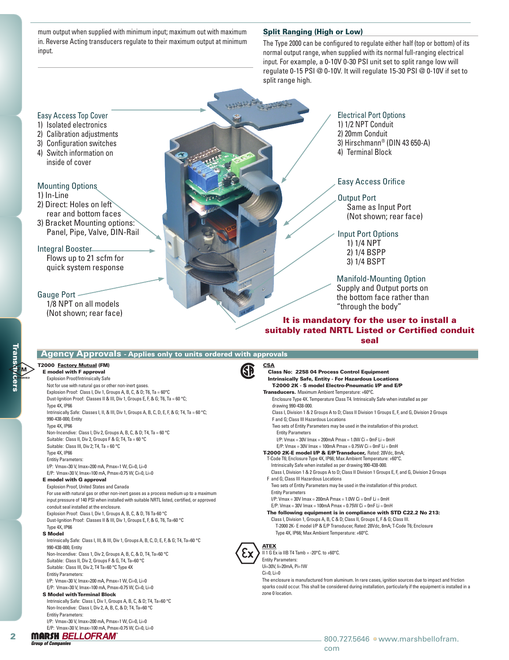mum output when supplied with minimum input; maximum out with maximum in. Reverse Acting transducers regulate to their maximum output at minimum input.

#### Split Ranging (High or Low)

The Type 2000 can be configured to regulate either half (top or bottom) of its normal output range, when supplied with its normal full-ranging electrical input. For example, a 0-10V 0-30 PSI unit set to split range low will regulate 0-15 PSI @ 0-10V. It will regulate 15-30 PSI @ 0-10V if set to split range high.

# Easy Access Top Cover

- 1) Isolated electronics
- 2) Calibration adjustments
- 3) Configuration switches
- 4) Switch information on inside of cover

#### Mounting Options

- 1) In-Line
- 2) Direct: Holes on left rear and bottom faces
- 3) Bracket Mounting options: Panel, Pipe, Valve, DIN-Rail

#### Integral Booster

Flows up to 21 scfm for quick system response

### Gauge Port

1/8 NPT on all models (Not shown; rear face)

# Electrical Port Options

- 1) 1/2 NPT Conduit
- 2) 20mm Conduit
- 3) Hirschmann® (DIN 43 650-A)
- 4) Terminal Block

# Easy Access Orifice

Output Port Same as Input Port (Not shown; rear face)

Input Port Options 1) 1/4 NPT 2) 1/4 BSPP 3) 1/4 BSPT

Manifold-Mounting Option Supply and Output ports on the bottom face rather than "through the body"

# It is mandatory for the user to install a suitably rated NRTL Listed or Certified conduit seal

|                                      | <b>Agency Approvals - Applies only to units ordered with approvals</b>                         |                                                                                                                                 |
|--------------------------------------|------------------------------------------------------------------------------------------------|---------------------------------------------------------------------------------------------------------------------------------|
| anstiyters<br><sup>ansti</sup> yters | <b>T2000 Factory Mutual (FM)</b><br><b>E</b> model with F approval                             | <b>CSA</b><br><b>SD</b><br>Class No: 2258 04 Process Control Equipment                                                          |
|                                      | <b>Explosion Proof/Intrinsically Safe</b>                                                      | <b>Intrinsically Safe, Entity - For Hazardous Locations</b>                                                                     |
|                                      | Not for use with natural gas or other non-inert gases.                                         | T-2000 2K - S model Electro-Pneumatic I/P and E/P                                                                               |
|                                      | Explosion Proof: Class I, Div 1, Groups A, B, C, & D; T6, Ta = 60°C                            | Transducers. Maximum Ambient Temperature: +60°C.                                                                                |
|                                      | Dust-Ignition Proof: Classes II & III, Div 1, Groups E, F, & G; T6, Ta = 60 °C;                | Enclosure Type 4X. Temperature Class T4. Intrinsically Safe when installed as per                                               |
|                                      | Type 4X, IP66                                                                                  | drawing 990-438-000.                                                                                                            |
|                                      | Intrinsically Safe: Classes I, II, & III, Div 1, Groups A, B, C, D, E, F, & G; T4, Ta = 60 °C; | Class I, Division 1 & 2 Groups A to D; Class II Division 1 Groups E, F, and G, Division 2 Groups                                |
|                                      | 990-438-000, Entity                                                                            | F and G: Class III Hazardous Locations                                                                                          |
|                                      | Type 4X, IP66                                                                                  | Two sets of Entity Parameters may be used in the installation of this product.                                                  |
|                                      | Non-Incendive: Class I, Div 2, Groups A, B, C, & D; T4, Ta = 60 °C                             | <b>Entity Parameters</b>                                                                                                        |
|                                      | Suitable: Class II, Div 2, Groups F & G; T4, Ta = 60 °C                                        | $I/P$ : Vmax = 30V Imax = 200mA Pmax = 1.0W Ci = 0mF Li = 0mH                                                                   |
|                                      | Suitable: Class III, Div 2; T4, Ta = 60 °C                                                     | $E/P$ : Vmax = 30V Imax = 100mA Pmax = 0.75W Ci = 0mF Li = 0mH                                                                  |
|                                      | Type 4X, IP66                                                                                  | T-2000 2K-E model I/P & E/P Transducer, Rated: 28Vdc, 8mA;                                                                      |
|                                      | <b>Entitiy Parameters:</b>                                                                     | T-Code T6; Enclosure Type 4X, IP66; Max Ambient Temperature: +60°C.                                                             |
|                                      | I/P: Vmax=30 V, Imax=200 mA, Pmax=1 W, Ci=0, Li=0                                              | Intrinsically Safe when installed as per drawing 990-438-000.                                                                   |
|                                      | E/P: Vmax=30 V, Imax=100 mA, Pmax=0.75 W, Ci=0, Li=0                                           | Class I, Division 1 & 2 Groups A to D; Class II Division 1 Groups E, F, and G, Division 2 Groups                                |
|                                      | <b>E</b> model with G approval                                                                 | F and G: Class III Hazardous Locations                                                                                          |
|                                      | Explosion Proof, United States and Canada                                                      | Two sets of Entity Parameters may be used in the installation of this product.                                                  |
|                                      | For use with natural gas or other non-inert gases as a process medium up to a maximum          | <b>Entity Parameters</b>                                                                                                        |
|                                      | input pressure of 140 PSI when installed with suitable NRTL listed, certified, or approved     | $I/P$ : Vmax = 30V Imax = 200mA Pmax = 1.0W Ci = 0mF Li = 0mH<br>$E/P$ : Vmax = 30V Imax = 100mA Pmax = 0.75W Ci = 0mF Li = 0mH |
|                                      | conduit seal installed at the enclosure.                                                       | The following equipment is in compliance with STD C22.2 No 213:                                                                 |
|                                      | Explosion Proof: Class I, Div 1, Groups A, B, C, & D, T6 Ta-60 °C                              | Class I, Division 1, Groups A, B, C & D; Class II, Groups E, F & G; Class III.                                                  |
|                                      | Dust-Ignition Proof: Classes II & III, Div 1, Groups E, F, & G, T6, Ta=60 °C                   | T-2000 2K- E model I/P & E/P Transducer, Rated: 28Vdc, 8mA; T-Code T6; Enclosure                                                |
|                                      | Type 4X, IP66<br><b>S</b> Model                                                                | Type 4X, IP66; Max Ambient Temperature: +60°C.                                                                                  |
|                                      | Intrinsically Safe: Class I, III, & III, Div 1, Groups A, B, C, D, E, F, & G; T4, Ta=60 °C     |                                                                                                                                 |
|                                      | 990-438-000, Entity                                                                            | <b>ATEX</b>                                                                                                                     |
|                                      | Non-Incendive: Class 1, Div 2, Groups A, B, C, & D, T4, Ta=60 °C                               | II 1 G Ex ia IIB T4 Tamb = -20 $^{\circ}$ C. to +60 $^{\circ}$ C.                                                               |
|                                      | Suitable: Class II, Div 2, Groups F & G, T4, Ta=60 °C                                          | <b>Entity Parameters:</b>                                                                                                       |
|                                      | Suitable: Class III, Div 2, T4 Ta=60 °C Type 4X                                                | Ui=30V, Ii=20mA, Pi=1W                                                                                                          |
|                                      | <b>Entitiy Parameters:</b>                                                                     | $Ci=0.$ $Li=0$                                                                                                                  |
|                                      | I/P: Vmax=30 V, Imax=200 mA, Pmax=1 W, Ci=0, Li=0                                              | The enclosure is manufactured from aluminum. In rare cases, ignition sources due to impact and friction                         |
|                                      | E/P: Vmax=30 V, Imax=100 mA, Pmax=0.75 W, Ci=0, Li=0                                           | sparks could occur. This shall be considered during installation, particularly if the equipment is installed in a               |
|                                      | <b>S Model with Terminal Block</b>                                                             | zone 0 location.                                                                                                                |
|                                      | Intrinsically Safe: Class I, Div 1, Groups A, B, C, & D; T4, Ta=60 °C                          |                                                                                                                                 |
|                                      | Non-Incendive: Class I, Div 2, A, B, C, & D; T4, Ta=60 °C                                      |                                                                                                                                 |
|                                      | <b>Entitiy Parameters:</b>                                                                     |                                                                                                                                 |
|                                      | I/P: Vmax=30 V, Imax=200 mA, Pmax=1 W, Ci=0, Li=0                                              |                                                                                                                                 |
|                                      | E/P: Vmax=30 V, Imax=100 mA, Pmax=0.75 W, Ci=0, Li=0                                           |                                                                                                                                 |
| 2                                    | <b>MARSH BELLOFRAM</b>                                                                         | 800.727.5646 • www.marshbellofram.                                                                                              |
|                                      | <b>Group of Companies</b>                                                                      |                                                                                                                                 |

# com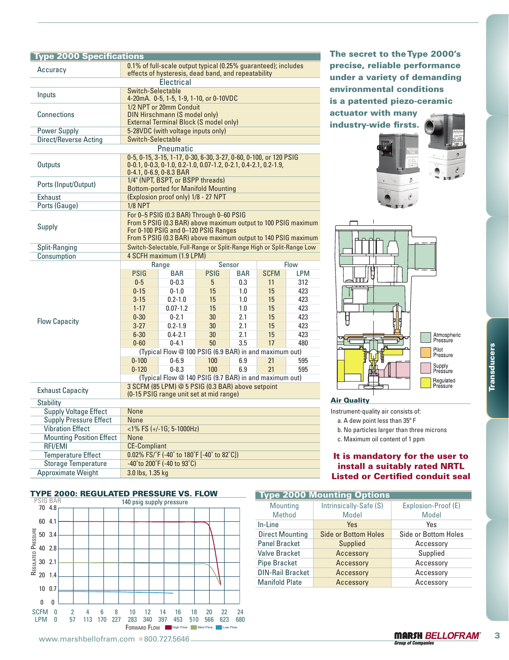# Type 2000 Specifications

| Accuracy                                                                                                                                                                                                                              |                                                                                              | 0.1% of full-scale output typical (0.25% guaranteed); includes                  |                |                   |                                    | precise, reliable performance |                                           |                                         |  |  |  |
|---------------------------------------------------------------------------------------------------------------------------------------------------------------------------------------------------------------------------------------|----------------------------------------------------------------------------------------------|---------------------------------------------------------------------------------|----------------|-------------------|------------------------------------|-------------------------------|-------------------------------------------|-----------------------------------------|--|--|--|
|                                                                                                                                                                                                                                       | effects of hysteresis, dead band, and repeatability<br>Electrical                            |                                                                                 |                |                   |                                    |                               | under a variety of demanding              |                                         |  |  |  |
| <b>Switch-Selectable</b>                                                                                                                                                                                                              |                                                                                              |                                                                                 |                |                   |                                    |                               | environmental conditions                  |                                         |  |  |  |
| Inputs                                                                                                                                                                                                                                | 4-20mA. 0-5, 1-5, 1-9, 1-10, or 0-10VDC                                                      |                                                                                 |                |                   |                                    | is a patented piezo-ceramic   |                                           |                                         |  |  |  |
| 1/2 NPT or 20mm Conduit                                                                                                                                                                                                               |                                                                                              |                                                                                 |                |                   |                                    | actuator with many            |                                           |                                         |  |  |  |
| <b>Connections</b><br>DIN Hirschmann (S model only)                                                                                                                                                                                   |                                                                                              |                                                                                 |                |                   |                                    |                               | industry-wide firsts.                     |                                         |  |  |  |
| <b>Power Supply</b>                                                                                                                                                                                                                   | <b>External Terminal Block (S model only)</b><br>5-28VDC (with voltage inputs only)          |                                                                                 |                |                   |                                    |                               |                                           |                                         |  |  |  |
| <b>Direct/Reverse Acting</b>                                                                                                                                                                                                          | Switch-Selectable                                                                            |                                                                                 |                |                   |                                    |                               |                                           |                                         |  |  |  |
|                                                                                                                                                                                                                                       |                                                                                              | Pneumatic                                                                       |                |                   |                                    |                               |                                           |                                         |  |  |  |
| 0-5, 0-15, 3-15, 1-17, 0-30, 6-30, 3-27, 0-60, 0-100, or 120 PSIG<br><b>Outputs</b><br>0-0.1, 0-0.3, 0-1.0, 0.2-1.0, 0.07-1.2, 0-2.1, 0.4-2.1, 0.2-1.9,<br>0-4.1, 0-6.9, 0-8.3 BAR                                                    |                                                                                              |                                                                                 |                |                   |                                    |                               |                                           |                                         |  |  |  |
| Ports (Input/Output)                                                                                                                                                                                                                  |                                                                                              | 1/4" (NPT, BSPT, or BSPP threads)<br><b>Bottom-ported for Manifold Mounting</b> |                |                   |                                    |                               |                                           |                                         |  |  |  |
| <b>Exhaust</b>                                                                                                                                                                                                                        |                                                                                              | (Explosion proof only) 1/8 - 27 NPT                                             |                |                   |                                    |                               |                                           |                                         |  |  |  |
| Ports (Gauge)                                                                                                                                                                                                                         | $1/8$ NPT                                                                                    |                                                                                 |                |                   |                                    |                               |                                           |                                         |  |  |  |
| For 0-5 PSIG (0.3 BAR) Through 0-60 PSIG<br>From 5 PSIG (0.3 BAR) above maximum output to 100 PSIG maximum<br><b>Supply</b><br>For 0-100 PSIG and 0-120 PSIG Ranges<br>From 5 PSIG (0.3 BAR) above maximum output to 140 PSIG maximum |                                                                                              |                                                                                 |                |                   |                                    |                               |                                           |                                         |  |  |  |
| <b>Split-Ranging</b>                                                                                                                                                                                                                  |                                                                                              | Switch-Selectable, Full-Range or Split-Range High or Split-Range Low            |                |                   |                                    |                               |                                           |                                         |  |  |  |
| Consumption                                                                                                                                                                                                                           |                                                                                              | 4 SCFH maximum (1.9 LPM)                                                        |                |                   |                                    |                               |                                           |                                         |  |  |  |
|                                                                                                                                                                                                                                       | Range<br><b>PSIG</b>                                                                         | Sensor<br><b>PSIG</b>                                                           |                |                   | <b>Flow</b>                        |                               |                                           |                                         |  |  |  |
|                                                                                                                                                                                                                                       | $0-5$                                                                                        | <b>BAR</b><br>$0 - 0.3$                                                         | 5              | <b>BAR</b><br>0.3 | <b>SCFM</b><br>11                  | <b>LPM</b><br>312             |                                           |                                         |  |  |  |
|                                                                                                                                                                                                                                       | $0 - 15$                                                                                     | $0 - 1.0$                                                                       | 15             | 1.0               | 15                                 | 423                           |                                           |                                         |  |  |  |
|                                                                                                                                                                                                                                       | $3 - 15$                                                                                     | $0.2 - 1.0$                                                                     | 15             | 1.0               | 15                                 | 423                           |                                           |                                         |  |  |  |
|                                                                                                                                                                                                                                       | $1 - 17$                                                                                     | $0.07 - 1.2$                                                                    | 15             | 1.0               | 15                                 | 423                           |                                           |                                         |  |  |  |
| <b>Flow Capacity</b>                                                                                                                                                                                                                  | $0 - 30$                                                                                     | $0 - 2.1$                                                                       | 30             | 2.1               | 15                                 | 423                           | Ų                                         |                                         |  |  |  |
|                                                                                                                                                                                                                                       | $3 - 27$                                                                                     | $0.2 - 1.9$                                                                     | 30             | 2.1               | 15                                 | 423                           |                                           |                                         |  |  |  |
|                                                                                                                                                                                                                                       | $6 - 30$                                                                                     | $0.4 - 2.1$                                                                     | 30             | 2.1               | 15                                 | 423                           |                                           | Atmospheric<br>Pressure                 |  |  |  |
|                                                                                                                                                                                                                                       | $0 - 60$                                                                                     | $0 - 4.1$<br>(Typical Flow @ 100 PSIG (6.9 BAR) in and maximum out)             | 50             | 3.5               | 17                                 | 480                           |                                           | Pilot                                   |  |  |  |
|                                                                                                                                                                                                                                       | $0 - 100$                                                                                    | $0 - 6.9$                                                                       | 100            | 6.9               | 21                                 |                               | <b>Transducers</b><br>Pressure            |                                         |  |  |  |
|                                                                                                                                                                                                                                       | $0 - 120$                                                                                    | $0 - 8.3$                                                                       | 100            | 6.9               | 21                                 | 595<br>595                    |                                           | Supply<br>Pressure                      |  |  |  |
|                                                                                                                                                                                                                                       |                                                                                              | (Typical Flow @ 140 PSIG (9.7 BAR) in and maximum out)                          |                |                   |                                    |                               |                                           |                                         |  |  |  |
| <b>Exhaust Capacity</b>                                                                                                                                                                                                               | 3 SCFM (85 LPM) @ 5 PSIG (0.3 BAR) above setpoint<br>(0-15 PSIG range unit set at mid range) |                                                                                 |                |                   |                                    |                               |                                           | Regulated<br>Pressure                   |  |  |  |
|                                                                                                                                                                                                                                       |                                                                                              |                                                                                 |                |                   |                                    |                               | <b>Air Quality</b>                        |                                         |  |  |  |
| <b>Stability</b><br><b>Supply Voltage Effect</b>                                                                                                                                                                                      | None                                                                                         |                                                                                 |                |                   |                                    |                               | Instrument-quality air consists of:       |                                         |  |  |  |
| <b>Supply Pressure Effect</b>                                                                                                                                                                                                         | None                                                                                         |                                                                                 |                |                   |                                    |                               | a. A dew point less than 35° F            |                                         |  |  |  |
| <b>Vibration Effect</b>                                                                                                                                                                                                               |                                                                                              | <1% FS (+/-1G; 5-1000Hz)                                                        |                |                   |                                    |                               | b. No particles larger than three microns |                                         |  |  |  |
| <b>Mounting Position Effect</b>                                                                                                                                                                                                       | <b>None</b>                                                                                  |                                                                                 |                |                   |                                    |                               | c. Maximum oil content of 1 ppm           |                                         |  |  |  |
| <b>RFI/EMI</b>                                                                                                                                                                                                                        | <b>CE-Compliant</b>                                                                          |                                                                                 |                |                   |                                    |                               |                                           |                                         |  |  |  |
| <b>Temperature Effect</b>                                                                                                                                                                                                             |                                                                                              | 0.02% FS/°F (-40° to 180°F [-40° to 82°C])                                      |                |                   |                                    |                               |                                           | It is mandatory for the user to         |  |  |  |
| <b>Storage Temperature</b>                                                                                                                                                                                                            | -40°to 200°F (-40 to 93°C)                                                                   |                                                                                 |                |                   |                                    | install a suitably rated NRTL |                                           |                                         |  |  |  |
| <b>Approximate Weight</b>                                                                                                                                                                                                             | 3.0 lbs, 1.35 kg                                                                             |                                                                                 |                |                   |                                    |                               |                                           | <b>Listed or Certified conduit seal</b> |  |  |  |
|                                                                                                                                                                                                                                       |                                                                                              |                                                                                 |                |                   |                                    |                               |                                           |                                         |  |  |  |
| <b>TYPE 2000: REGULATED PRESSURE VS. FLOW</b><br><b>PSIG BAR</b>                                                                                                                                                                      | 140 psig supply pressure                                                                     |                                                                                 |                |                   |                                    |                               | <b>Type 2000 Mounting Options</b>         |                                         |  |  |  |
| 704.8                                                                                                                                                                                                                                 |                                                                                              |                                                                                 |                |                   | <b>Mounting</b>                    |                               | Intrinsically-Safe (S)                    | Explosion-Proof (E)                     |  |  |  |
| 60 4.1                                                                                                                                                                                                                                |                                                                                              |                                                                                 |                |                   | Method                             |                               | Model                                     | Model                                   |  |  |  |
|                                                                                                                                                                                                                                       |                                                                                              |                                                                                 |                |                   | In-Line<br><b>Direct Mounting</b>  |                               | Yes<br><b>Side or Bottom Holes</b>        | Yes<br>Side or Bottom Holes             |  |  |  |
| es 50 3.4<br>es 50 3.4<br>es 40 2.8<br>es 30 2.1<br>es 20 1.4                                                                                                                                                                         |                                                                                              |                                                                                 |                |                   | <b>Panel Bracket</b>               |                               | Supplied                                  | Accessory                               |  |  |  |
|                                                                                                                                                                                                                                       |                                                                                              |                                                                                 |                |                   | <b>Valve Bracket</b>               |                               | Accessory                                 | Supplied                                |  |  |  |
|                                                                                                                                                                                                                                       |                                                                                              |                                                                                 |                |                   | <b>Pipe Bracket</b>                |                               | Accessory                                 | Accessory                               |  |  |  |
|                                                                                                                                                                                                                                       |                                                                                              |                                                                                 |                |                   | <b>DIN-Rail Bracket</b>            |                               | Accessory                                 | Accessory                               |  |  |  |
|                                                                                                                                                                                                                                       |                                                                                              |                                                                                 |                |                   | <b>Manifold Plate</b><br>Accessory |                               | Accessory                                 |                                         |  |  |  |
| 100.7                                                                                                                                                                                                                                 |                                                                                              |                                                                                 |                |                   |                                    |                               |                                           |                                         |  |  |  |
| 0<br>0                                                                                                                                                                                                                                |                                                                                              |                                                                                 |                |                   |                                    |                               |                                           |                                         |  |  |  |
| SCFM <sub>0</sub><br>6<br>8<br>2                                                                                                                                                                                                      | 10<br>12                                                                                     | -14<br>16<br>18                                                                 | 20<br>22       | 24                |                                    |                               |                                           |                                         |  |  |  |
| 113 170 227<br>LPM 0<br>57                                                                                                                                                                                                            | 283<br>340                                                                                   | 397<br>453                                                                      | 510 566<br>623 | 680               |                                    |                               |                                           |                                         |  |  |  |
|                                                                                                                                                                                                                                       |                                                                                              | FORWARD FLOW <b>Figh Flow</b> Med Flow Low Flow                                 |                |                   |                                    |                               |                                           |                                         |  |  |  |
| www.marshbellofram.com ● 800.727.5646                                                                                                                                                                                                 |                                                                                              |                                                                                 |                |                   |                                    |                               |                                           | <b>MARSH BELLOFRAM®</b><br>3            |  |  |  |



The secret to the Type 2000's precise, reliable performance under a variety of demanding environmental conditions is a patented piezo-ceramic actuator with many industry-wide firsts.







#### Air Quality

- a. A dew point less than 35º F
- b. No particles larger than three microns

# It is mandatory for the user to install a suitably rated NRTL Listed or Certified conduit seal

| <b>Type 2000 Mounting Options</b> |                             |                      |  |  |  |  |  |  |
|-----------------------------------|-----------------------------|----------------------|--|--|--|--|--|--|
| <b>Mounting</b>                   | Intrinsically-Safe (S)      | Explosion-Proof (E)  |  |  |  |  |  |  |
| <b>Method</b>                     | Model                       | <b>Model</b>         |  |  |  |  |  |  |
| In-Line                           | Yes                         | Yes                  |  |  |  |  |  |  |
| <b>Direct Mounting</b>            | <b>Side or Bottom Holes</b> | Side or Bottom Holes |  |  |  |  |  |  |
| <b>Panel Bracket</b>              | <b>Supplied</b>             | Accessory            |  |  |  |  |  |  |
| <b>Valve Bracket</b>              | Accessory                   | Supplied             |  |  |  |  |  |  |
| <b>Pipe Bracket</b>               | Accessory                   | Accessory            |  |  |  |  |  |  |
| <b>DIN-Rail Bracket</b>           | Accessory                   | Accessory            |  |  |  |  |  |  |
| <b>Manifold Plate</b>             | Accessory                   | Accessory            |  |  |  |  |  |  |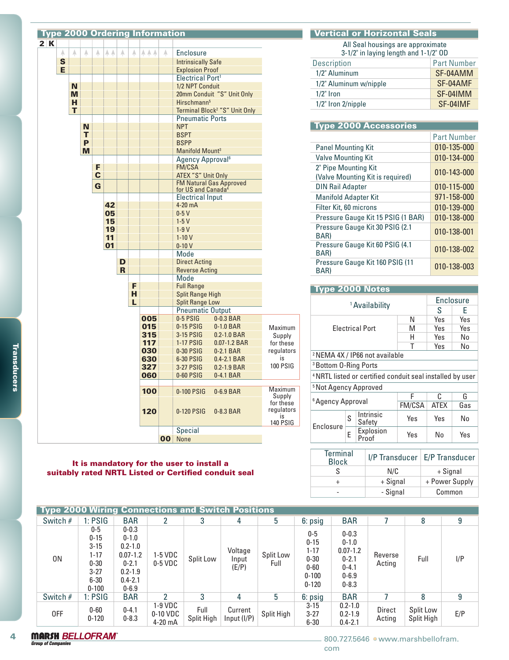

#### It is mandatory for the user to install a suitably rated NRTL Listed or Certified conduit seal

# Vertical or Horizontal Seals

All Seal housings are approximate 3-1/2" in laying length and 1-1/2" OD

| $0.12$ m taying tongen and $1.12$ |                    |
|-----------------------------------|--------------------|
| <b>Description</b>                | <b>Part Number</b> |
| 1/2" Aluminum                     | SF-04AMM           |
| 1/2" Aluminum w/nipple            | SF-04AMF           |
| $1/2$ " Iron                      | SF-04IMM           |
| 1/2" Iron 2/nipple                | SF-04IMF           |
|                                   |                    |

### Type 2000 Accessories

|                                                          | <b>Part Number</b> |
|----------------------------------------------------------|--------------------|
| <b>Panel Mounting Kit</b>                                | 010-135-000        |
| <b>Valve Mounting Kit</b>                                | 010-134-000        |
| 2" Pipe Mounting Kit<br>(Valve Mounting Kit is required) | 010-143-000        |
| <b>DIN Rail Adapter</b>                                  | 010-115-000        |
| <b>Manifold Adapter Kit</b>                              | 971-158-000        |
| Filter Kit, 60 microns                                   | 010-139-000        |
| Pressure Gauge Kit 15 PSIG (1 BAR)                       | 010-138-000        |
| Pressure Gauge Kit 30 PSIG (2.1)<br>BAR)                 | 010-138-001        |
| Pressure Gauge Kit 60 PSIG (4.1<br>BAR)                  | 010-138-002        |
| Pressure Gauge Kit 160 PSIG (11<br>BAR)                  | 010-138-003        |

| <b>Type 2000 Notes</b>                                               |                                           |                           |     |             |     |  |  |  |  |
|----------------------------------------------------------------------|-------------------------------------------|---------------------------|-----|-------------|-----|--|--|--|--|
|                                                                      | <b>Enclosure</b>                          |                           |     |             |     |  |  |  |  |
|                                                                      |                                           | <sup>1</sup> Availability |     | S           | F   |  |  |  |  |
|                                                                      |                                           |                           | N   | Yes         | Yes |  |  |  |  |
|                                                                      |                                           | <b>Flectrical Port</b>    | M   | Yes         | Yes |  |  |  |  |
|                                                                      |                                           |                           | н   | Yes         | No  |  |  |  |  |
|                                                                      |                                           |                           | т   | Yes         | No  |  |  |  |  |
|                                                                      | <sup>2</sup> NEMA 4X / IP66 not available |                           |     |             |     |  |  |  |  |
| <sup>3</sup> Bottom 0-Ring Ports                                     |                                           |                           |     |             |     |  |  |  |  |
| <sup>4</sup> NRTL listed or certified conduit seal installed by user |                                           |                           |     |             |     |  |  |  |  |
| <sup>5</sup> Not Agency Approved                                     |                                           |                           |     |             |     |  |  |  |  |
|                                                                      |                                           |                           | F   | ſ.          | G   |  |  |  |  |
|                                                                      | <sup>6</sup> Agency Approval              |                           |     | <b>ATEX</b> | Gas |  |  |  |  |
|                                                                      | S                                         | Intrinsic<br>Safety       | Yes | Yes         | N٥  |  |  |  |  |
| Enclosure                                                            | E                                         | Explosion<br>Proof        | Yes | N٥          | Yes |  |  |  |  |

| <b>Terminal</b><br><b>Block</b> |          | I/P Transducer   E/P Transducer |
|---------------------------------|----------|---------------------------------|
|                                 | N/C      | + Signal                        |
|                                 | + Signal | + Power Supply                  |
|                                 | - Signal | Common                          |

| <b>Type 2000 Wiring Connections and Switch Positions</b> |                                                                                            |                                                                                                               |                                  |                    |                           |                   |                                                                                 |                                                                                            |                   |                         |     |
|----------------------------------------------------------|--------------------------------------------------------------------------------------------|---------------------------------------------------------------------------------------------------------------|----------------------------------|--------------------|---------------------------|-------------------|---------------------------------------------------------------------------------|--------------------------------------------------------------------------------------------|-------------------|-------------------------|-----|
| Switch #                                                 | 1:PSIG                                                                                     | <b>BAR</b>                                                                                                    |                                  | 3                  | 4                         | 5                 | 6: psig                                                                         | <b>BAR</b>                                                                                 |                   | 8                       | 9   |
| 0N                                                       | $0-5$<br>$0 - 15$<br>$3 - 15$<br>$1 - 17$<br>$0 - 30$<br>$3 - 27$<br>$6 - 30$<br>$0 - 100$ | $0 - 0.3$<br>$0 - 1.0$<br>$0.2 - 1.0$<br>$0.07 - 1.2$<br>$0 - 2.1$<br>$0.2 - 1.9$<br>$0.4 - 2.1$<br>$0 - 6.9$ | $1-5$ VDC<br>$0-5$ VDC           | Split Low          | Voltage<br>Input<br>(E/P) | Split Low<br>Full | $0-5$<br>$0 - 15$<br>$1 - 17$<br>$0 - 30$<br>$0 - 60$<br>$0 - 100$<br>$0 - 120$ | $0 - 0.3$<br>$0 - 1.0$<br>$0.07 - 1.2$<br>$0 - 2.1$<br>$0 - 4.1$<br>$0 - 6.9$<br>$0 - 8.3$ | Reverse<br>Acting | Full                    | I/P |
| Switch $#$                                               | 1:PSIG                                                                                     | <b>BAR</b>                                                                                                    | າ                                | 3                  | 4                         | 5                 | 6: psig                                                                         | <b>BAR</b>                                                                                 |                   | 8                       | 9   |
| 0FF                                                      | $0 - 60$<br>$0 - 120$                                                                      | $0 - 4.1$<br>$0 - 8.3$                                                                                        | 1-9 VDC<br>0-10 VDC<br>$4-20$ mA | Full<br>Split High | Current<br>Input (I/P)    | Split High        | $3 - 15$<br>$3 - 27$<br>$6 - 30$                                                | $0.2 - 1.0$<br>$0.2 - 1.9$<br>$0.4 - 2.1$                                                  | Direct<br>Acting  | Split Low<br>Split High | E/P |